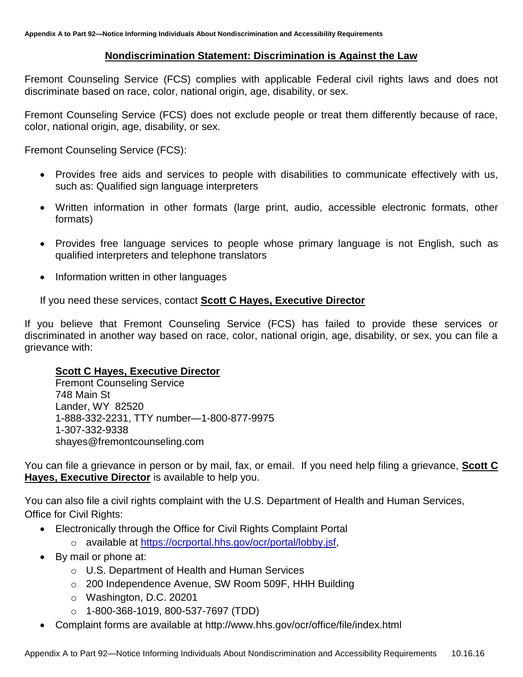## **Nondiscrimination Statement: Discrimination is Against the Law**

Fremont Counseling Service (FCS) complies with applicable Federal civil rights laws and does not discriminate based on race, color, national origin, age, disability, or sex.

Fremont Counseling Service (FCS) does not exclude people or treat them differently because of race, color, national origin, age, disability, or sex.

Fremont Counseling Service (FCS):

- Provides free aids and services to people with disabilities to communicate effectively with us, such as: Qualified sign language interpreters
- Written information in other formats (large print, audio, accessible electronic formats, other formats)
- Provides free language services to people whose primary language is not English, such as qualified interpreters and telephone translators
- Information written in other languages

If you need these services, contact **Scott C Hayes, Executive Director**

If you believe that Fremont Counseling Service (FCS) has failed to provide these services or discriminated in another way based on race, color, national origin, age, disability, or sex, you can file a grievance with:

## **Scott C Hayes, Executive Director**

Fremont Counseling Service 748 Main St Lander, WY 82520 1-888-332-2231, TTY number—1-800-877-9975 1-307-332-9338 shayes@fremontcounseling.com

You can file a grievance in person or by mail, fax, or email. If you need help filing a grievance, **Scott C Hayes, Executive Director** is available to help you.

You can also file a civil rights complaint with the U.S. Department of Health and Human Services, Office for Civil Rights:

- Electronically through the Office for Civil Rights Complaint Portal
	- o available at [https://ocrportal.hhs.gov/ocr/portal/lobby.jsf,](https://ocrportal.hhs.gov/ocr/portal/lobby.jsf)
- By mail or phone at:
	- o U.S. Department of Health and Human Services
	- o 200 Independence Avenue, SW Room 509F, HHH Building
	- o Washington, D.C. 20201
	- o 1-800-368-1019, 800-537-7697 (TDD)
- Complaint forms are available at http://www.hhs.gov/ocr/office/file/index.html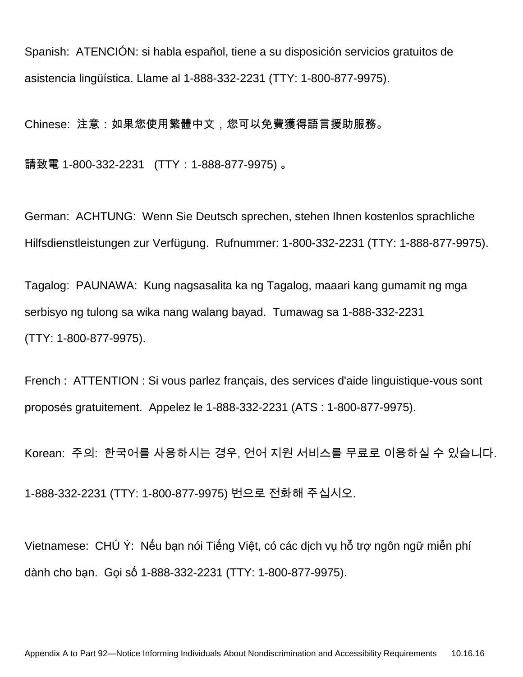Spanish: ATENCIÓN: si habla español, tiene a su disposición servicios gratuitos de asistencia lingüística. Llame al 1-888-332-2231 (TTY: 1-800-877-9975).

Chinese: 注意:如果您使用繁體中文,您可以免費獲得語言援助服務。

請致電 1-800-332-2231 (TTY: 1-888-877-9975)。

German: ACHTUNG: Wenn Sie Deutsch sprechen, stehen Ihnen kostenlos sprachliche Hilfsdienstleistungen zur Verfügung. Rufnummer: 1-800-332-2231 (TTY: 1-888-877-9975).

Tagalog: PAUNAWA: Kung nagsasalita ka ng Tagalog, maaari kang gumamit ng mga serbisyo ng tulong sa wika nang walang bayad. Tumawag sa 1-888-332-2231 (TTY: 1-800-877-9975).

French : ATTENTION : Si vous parlez français, des services d'aide linguistique-vous sont proposés gratuitement. Appelez le 1-888-332-2231 (ATS : 1-800-877-9975).

Korean: 주의: 한국어를 사용하시는 경우, 언어 지원 서비스를 무료로 이용하실 수 있습니다. 1-888-332-2231 (TTY: 1-800-877-9975) 번으로 전화해 주십시오.

Vietnamese: CHÚ Ý: Nếu bạn nói Tiếng Việt, có các dịch vụ hỗ trợ ngôn ngữ miễn phí dành cho bạn. Gọi số 1-888-332-2231 (TTY: 1-800-877-9975).